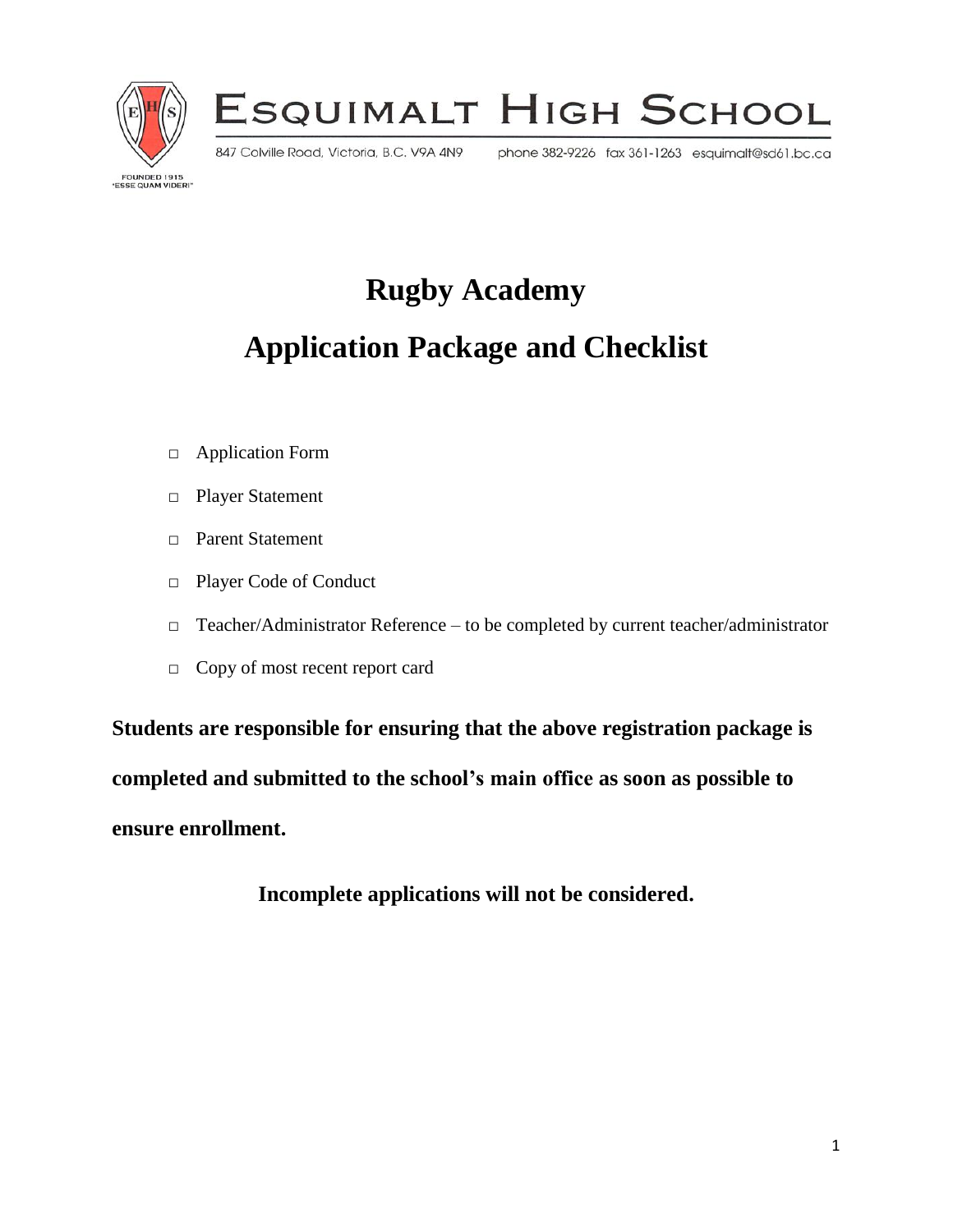

ESQUIMALT HIGH SCHOOL

847 Colville Road, Victoria, B.C. V9A 4N9

phone 382-9226 fax 361-1263 esquimalt@sd61.bc.ca

**FOUNDED 1915<br>ESSE QUAM VIDERI** 

**Rugby Academy** 

# **Application Package and Checklist**

- □ Application Form
- □ Player Statement
- □ Parent Statement
- □ Player Code of Conduct
- □ Teacher/Administrator Reference to be completed by current teacher/administrator
- □ Copy of most recent report card

**Students are responsible for ensuring that the above registration package is completed and submitted to the school's main office as soon as possible to ensure enrollment.**

**Incomplete applications will not be considered.**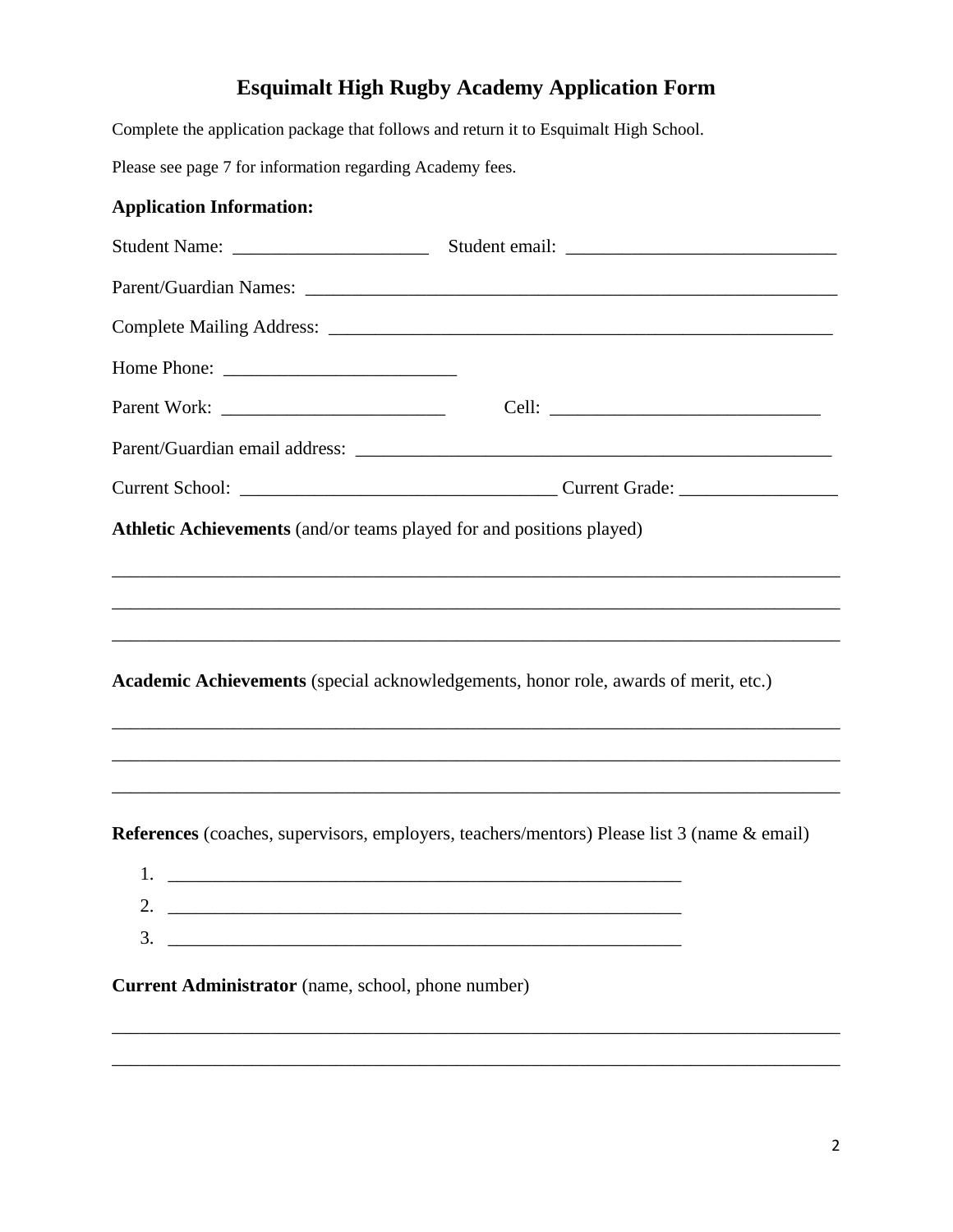# **Esquimalt High Rugby Academy Application Form**

Complete the application package that follows and return it to Esquimalt High School.

Please see page 7 for information regarding Academy fees.

### **Application Information:**

| Parent/Guardian Names: Names: Names: Names: Names: Names: Names: Names: Names: Names: Names: Names: Names: Names: Names: Names: Names: Names: Names: Names: Names: Names: Names: Names: Names: Names: Names: Names: Names: Nam |  |  |  |
|--------------------------------------------------------------------------------------------------------------------------------------------------------------------------------------------------------------------------------|--|--|--|
|                                                                                                                                                                                                                                |  |  |  |
|                                                                                                                                                                                                                                |  |  |  |
|                                                                                                                                                                                                                                |  |  |  |
|                                                                                                                                                                                                                                |  |  |  |
|                                                                                                                                                                                                                                |  |  |  |
| Athletic Achievements (and/or teams played for and positions played)                                                                                                                                                           |  |  |  |
|                                                                                                                                                                                                                                |  |  |  |
|                                                                                                                                                                                                                                |  |  |  |
|                                                                                                                                                                                                                                |  |  |  |
| Academic Achievements (special acknowledgements, honor role, awards of merit, etc.)                                                                                                                                            |  |  |  |
|                                                                                                                                                                                                                                |  |  |  |
|                                                                                                                                                                                                                                |  |  |  |
| References (coaches, supervisors, employers, teachers/mentors) Please list 3 (name & email)                                                                                                                                    |  |  |  |
| $1.$ $\overline{\phantom{a}}$                                                                                                                                                                                                  |  |  |  |
|                                                                                                                                                                                                                                |  |  |  |
| 3.                                                                                                                                                                                                                             |  |  |  |
| Current Administrator (name, school, phone number)                                                                                                                                                                             |  |  |  |

\_\_\_\_\_\_\_\_\_\_\_\_\_\_\_\_\_\_\_\_\_\_\_\_\_\_\_\_\_\_\_\_\_\_\_\_\_\_\_\_\_\_\_\_\_\_\_\_\_\_\_\_\_\_\_\_\_\_\_\_\_\_\_\_\_\_\_\_\_\_\_\_\_\_\_\_\_\_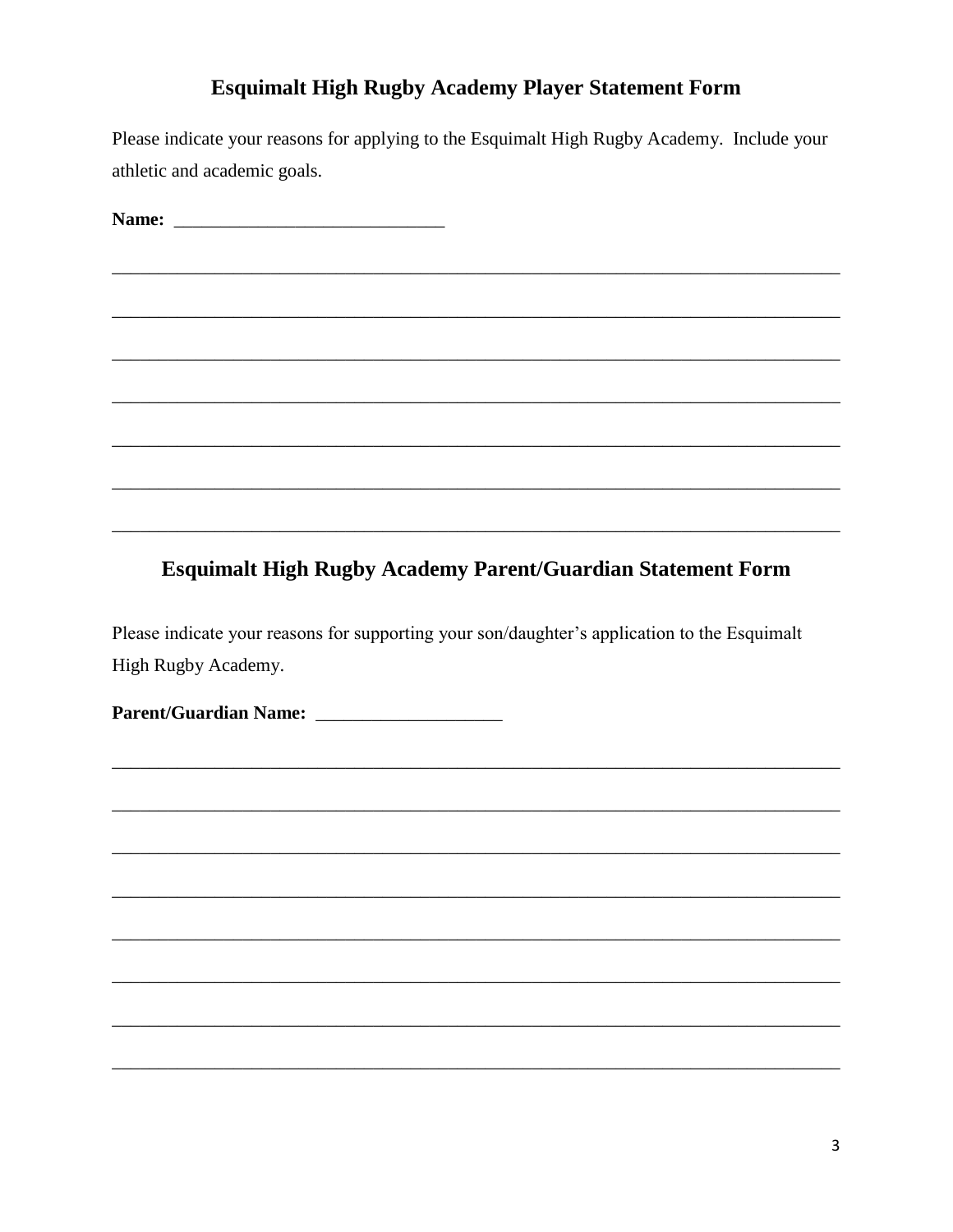# **Esquimalt High Rugby Academy Player Statement Form**

Please indicate your reasons for applying to the Esquimalt High Rugby Academy. Include your athletic and academic goals.

### **Esquimalt High Rugby Academy Parent/Guardian Statement Form**

Please indicate your reasons for supporting your son/daughter's application to the Esquimalt High Rugby Academy.

Parent/Guardian Name: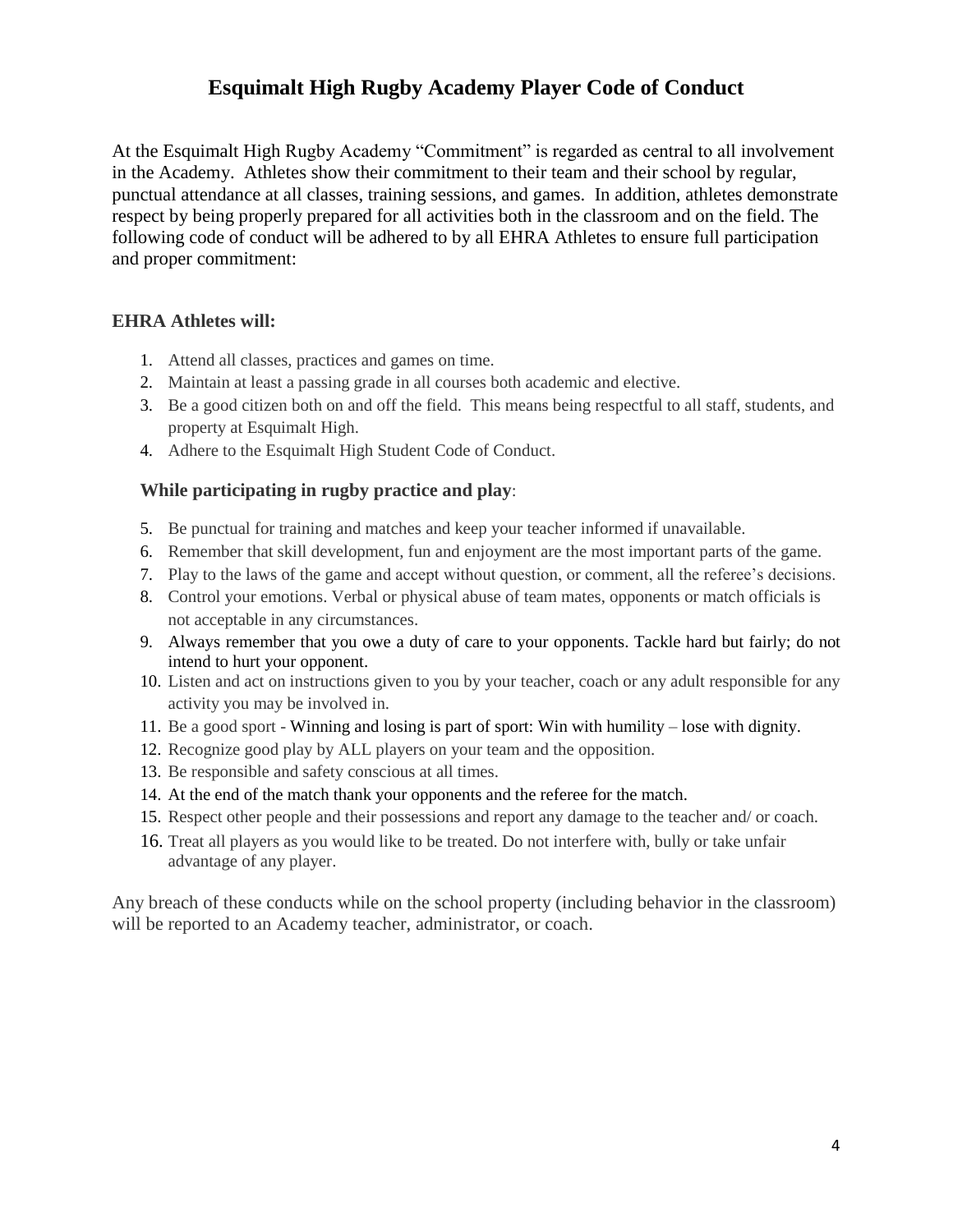## **Esquimalt High Rugby Academy Player Code of Conduct**

At the Esquimalt High Rugby Academy "Commitment" is regarded as central to all involvement in the Academy. Athletes show their commitment to their team and their school by regular, punctual attendance at all classes, training sessions, and games. In addition, athletes demonstrate respect by being properly prepared for all activities both in the classroom and on the field. The following code of conduct will be adhered to by all EHRA Athletes to ensure full participation and proper commitment:

#### **EHRA Athletes will:**

- 1. Attend all classes, practices and games on time.
- 2. Maintain at least a passing grade in all courses both academic and elective.
- 3. Be a good citizen both on and off the field. This means being respectful to all staff, students, and property at Esquimalt High.
- 4. Adhere to the Esquimalt High Student Code of Conduct.

#### **While participating in rugby practice and play**:

- 5. Be punctual for training and matches and keep your teacher informed if unavailable.
- 6. Remember that skill development, fun and enjoyment are the most important parts of the game.
- 7. Play to the laws of the game and accept without question, or comment, all the referee's decisions.
- 8. Control your emotions. Verbal or physical abuse of team mates, opponents or match officials is not acceptable in any circumstances.
- 9. Always remember that you owe a duty of care to your opponents. Tackle hard but fairly; do not intend to hurt your opponent.
- 10. Listen and act on instructions given to you by your teacher, coach or any adult responsible for any activity you may be involved in.
- 11. Be a good sport Winning and losing is part of sport: Win with humility lose with dignity.
- 12. Recognize good play by ALL players on your team and the opposition.
- 13. Be responsible and safety conscious at all times.
- 14. At the end of the match thank your opponents and the referee for the match.
- 15. Respect other people and their possessions and report any damage to the teacher and/ or coach.
- 16. Treat all players as you would like to be treated. Do not interfere with, bully or take unfair advantage of any player.

Any breach of these conducts while on the school property (including behavior in the classroom) will be reported to an Academy teacher, administrator, or coach.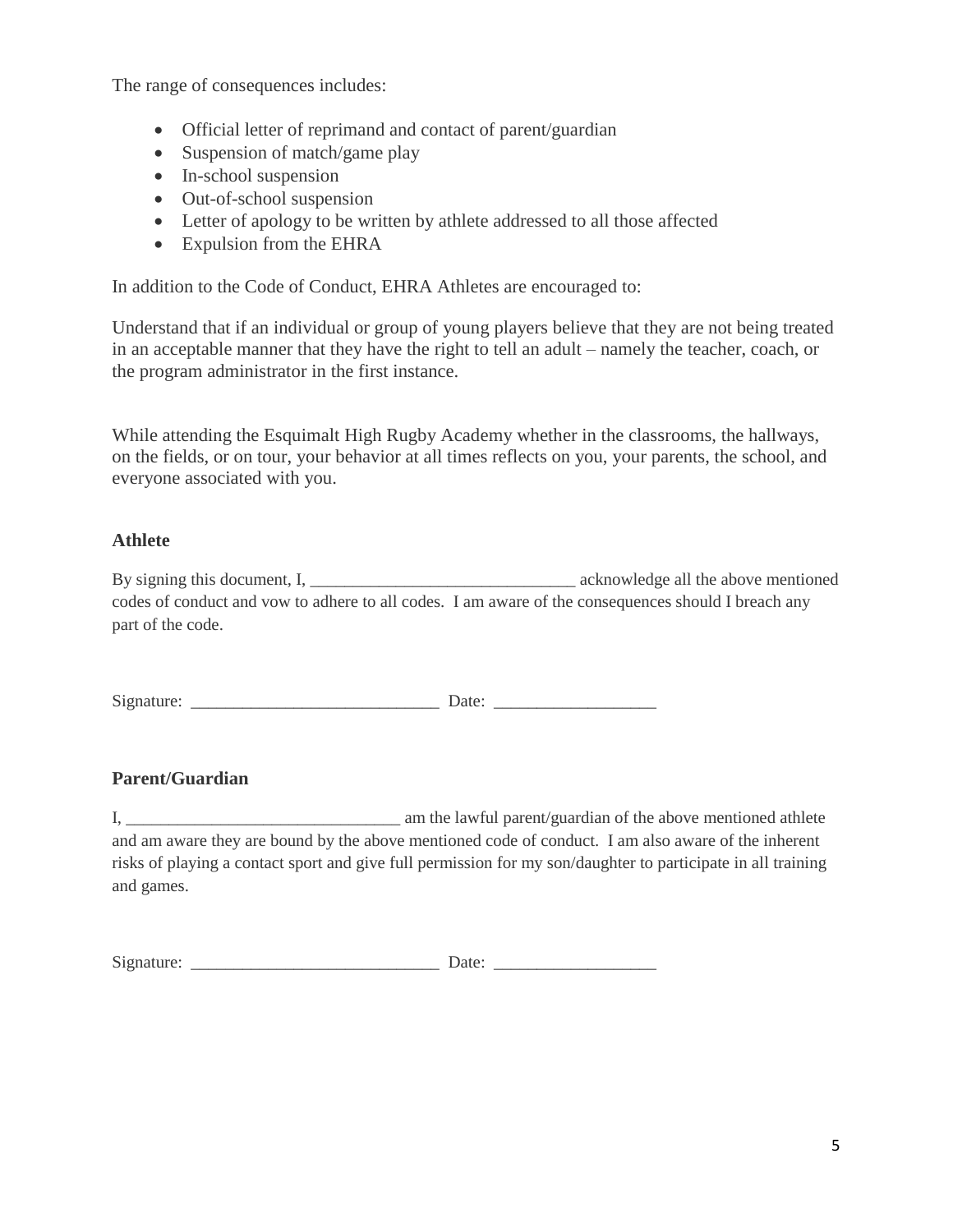The range of consequences includes:

- Official letter of reprimand and contact of parent/guardian
- Suspension of match/game play
- In-school suspension
- Out-of-school suspension
- Letter of apology to be written by athlete addressed to all those affected
- Expulsion from the EHRA

In addition to the Code of Conduct, EHRA Athletes are encouraged to:

Understand that if an individual or group of young players believe that they are not being treated in an acceptable manner that they have the right to tell an adult – namely the teacher, coach, or the program administrator in the first instance.

While attending the Esquimalt High Rugby Academy whether in the classrooms, the hallways, on the fields, or on tour, your behavior at all times reflects on you, your parents, the school, and everyone associated with you.

#### **Athlete**

By signing this document, I, \_\_\_\_\_\_\_\_\_\_\_\_\_\_\_\_\_\_\_\_\_\_\_\_\_\_\_\_\_\_\_ acknowledge all the above mentioned codes of conduct and vow to adhere to all codes. I am aware of the consequences should I breach any part of the code.

Signature: \_\_\_\_\_\_\_\_\_\_\_\_\_\_\_\_\_\_\_\_\_\_\_\_\_\_\_\_\_ Date: \_\_\_\_\_\_\_\_\_\_\_\_\_\_\_\_\_\_\_

#### **Parent/Guardian**

I, \_\_\_\_\_\_\_\_\_\_\_\_\_\_\_\_\_\_\_\_\_\_\_\_\_\_\_\_\_\_\_\_ am the lawful parent/guardian of the above mentioned athlete and am aware they are bound by the above mentioned code of conduct. I am also aware of the inherent risks of playing a contact sport and give full permission for my son/daughter to participate in all training and games.

| Signature: |     |  |
|------------|-----|--|
|            | ate |  |
|            |     |  |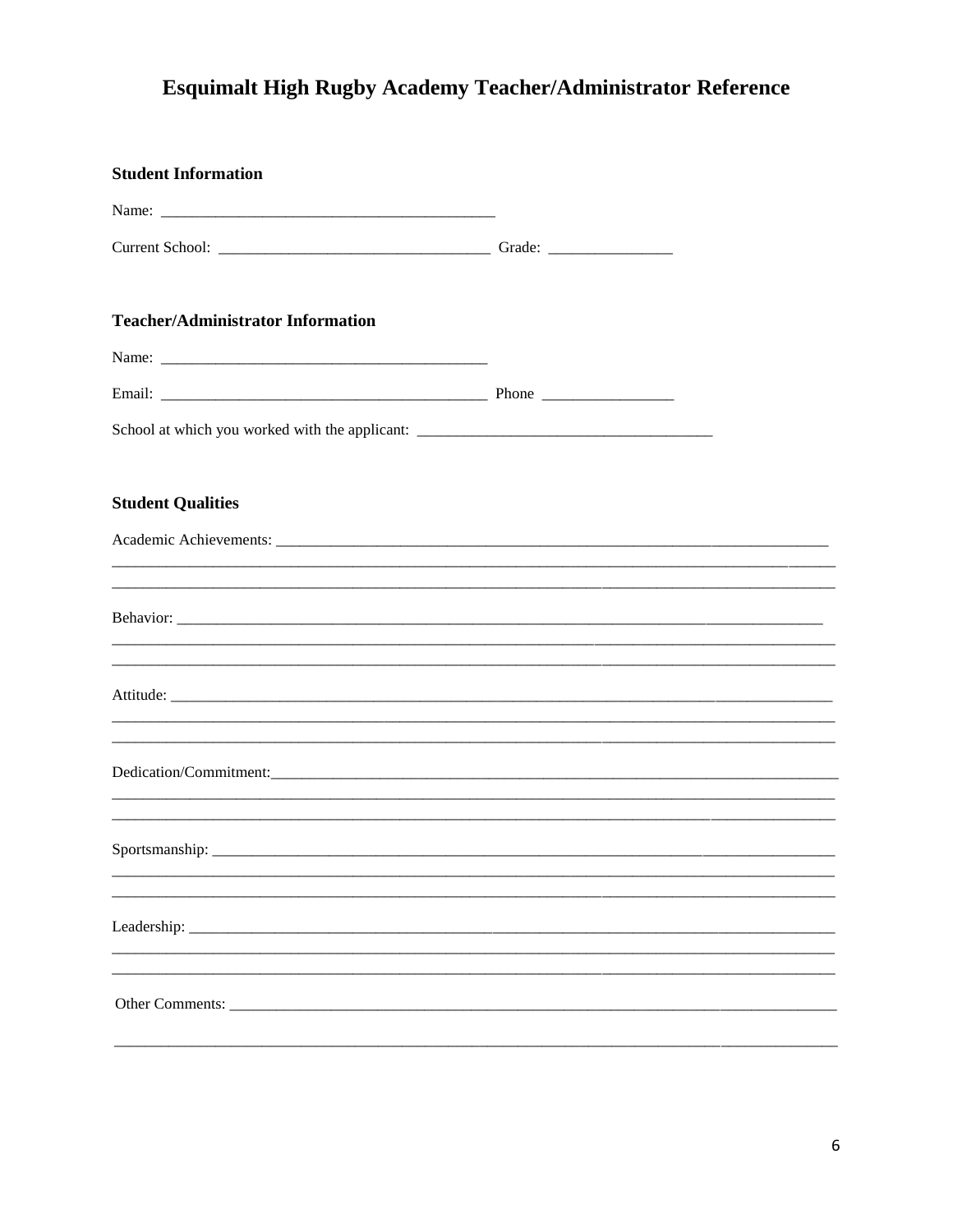# Esquimalt High Rugby Academy Teacher/Administrator Reference

| <b>Student Information</b>                                                                                       |  |
|------------------------------------------------------------------------------------------------------------------|--|
|                                                                                                                  |  |
|                                                                                                                  |  |
| <b>Teacher/Administrator Information</b>                                                                         |  |
|                                                                                                                  |  |
|                                                                                                                  |  |
|                                                                                                                  |  |
| <b>Student Qualities</b>                                                                                         |  |
|                                                                                                                  |  |
| <u> 1980 - Jan James James James James James James James James James James James James James James James Jam</u> |  |
|                                                                                                                  |  |
|                                                                                                                  |  |
|                                                                                                                  |  |
|                                                                                                                  |  |
|                                                                                                                  |  |
|                                                                                                                  |  |
|                                                                                                                  |  |
|                                                                                                                  |  |
| Leadership:                                                                                                      |  |
|                                                                                                                  |  |
| Other Comments:                                                                                                  |  |
|                                                                                                                  |  |